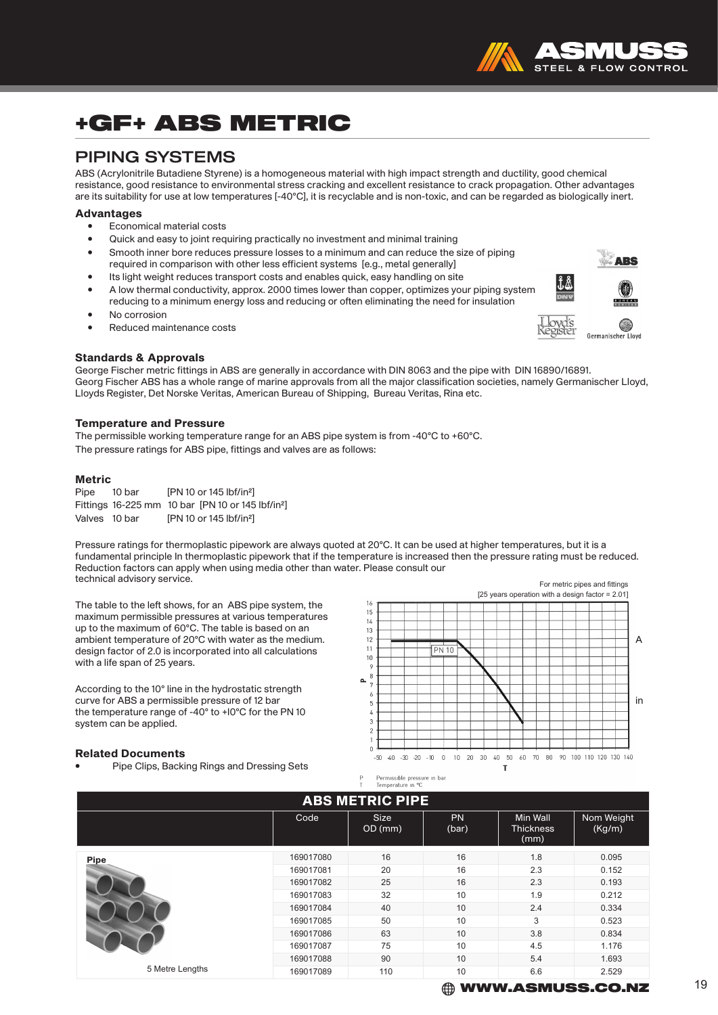# +GF+ ABS METRIC

### PIPING SYSTEMS

ABS (Acrylonitrile Butadiene Styrene) is a homogeneous material with high impact strength and ductility, good chemical resistance, good resistance to environmental stress cracking and excellent resistance to crack propagation. Other advantages are its suitability for use at low temperatures [-40°C], it is recyclable and is non-toxic, and can be regarded as biologically inert.

#### Advantages

- Economical material costs
- Quick and easy to joint requiring practically no investment and minimal training
- Smooth inner bore reduces pressure losses to a minimum and can reduce the size of piping required in comparison with other less efficient systems [e.g., metal generally]
- Its light weight reduces transport costs and enables quick, easy handling on site
- A low thermal conductivity, approx. 2000 times lower than copper, optimizes your piping system reducing to a minimum energy loss and reducing or often eliminating the need for insulation
- No corrosion
- Reduced maintenance costs

#### Standards & Approvals

George Fischer metric fittings in ABS are generally in accordance with DIN 8063 and the pipe with DIN 16890/16891. Georg Fischer ABS has a whole range of marine approvals from all the major classification societies, namely Germanischer Lloyd, Lloyds Register, Det Norske Veritas, American Bureau of Shipping, Bureau Veritas, Rina etc.

#### Temperature and Pressure

The permissible working temperature range for an ABS pipe system is from -40°C to +60°C. The pressure ratings for ABS pipe, fittings and valves are as follows:

#### Metric

| Pipe          | 10 bar | [PN 10 or 145 lbf/in <sup>2</sup> ]                           |
|---------------|--------|---------------------------------------------------------------|
|               |        | Fittings 16-225 mm 10 bar [PN 10 or 145 lbf/in <sup>2</sup> ] |
| Valves 10 bar |        | [PN 10 or 145 lbf/in <sup>2</sup> ]                           |

Pressure ratings for thermoplastic pipework are always quoted at 20°C. It can be used at higher temperatures, but it is a fundamental principle In thermoplastic pipework that if the temperature is increased then the pressure rating must be reduced. Reduction factors can apply when using media other than water. Please consult our technical advisory service. For metric pipes and fittings

The table to the left shows, for an ABS pipe system, the maximum permissible pressures at various temperatures up to the maximum of 60°C. The table is based on an design factor of 2.0 is incorporated into all calculations with a life span of 25 years.

According to the 10° line in the hydrostatic strength the temperature range of -40° to +l0°C for the PN 10 system can be applied.

#### Related Documents

• Pipe Clips, Backing Rings and Dressing Sets



| <b>ABS METRIC PIPE</b> |           |                        |                    |                                      |                      |  |  |  |  |
|------------------------|-----------|------------------------|--------------------|--------------------------------------|----------------------|--|--|--|--|
|                        | Code      | <b>Size</b><br>OD (mm) | <b>PN</b><br>(bar) | Min Wall<br><b>Thickness</b><br>(mm) | Nom Weight<br>(Kg/m) |  |  |  |  |
| <b>Pipe</b>            | 169017080 | 16                     | 16                 | 1.8                                  | 0.095                |  |  |  |  |
|                        | 169017081 | 20                     | 16                 | 2.3                                  | 0.152                |  |  |  |  |
|                        | 169017082 | 25                     | 16                 | 2.3                                  | 0.193                |  |  |  |  |
|                        | 169017083 | 32                     | 10                 | 1.9                                  | 0.212                |  |  |  |  |
|                        | 169017084 | 40                     | 10                 | 2.4                                  | 0.334                |  |  |  |  |
|                        | 169017085 | 50                     | 10                 | 3                                    | 0.523                |  |  |  |  |
|                        | 169017086 | 63                     | 10                 | 3.8                                  | 0.834                |  |  |  |  |
|                        | 169017087 | 75                     | 10                 | 4.5                                  | 1.176                |  |  |  |  |
|                        | 169017088 | 90                     | 10                 | 5.4                                  | 1.693                |  |  |  |  |
| 5 Metre Lengths        | 169017089 | 110                    | 10                 | 6.6                                  | 2.529                |  |  |  |  |



**ARS** 

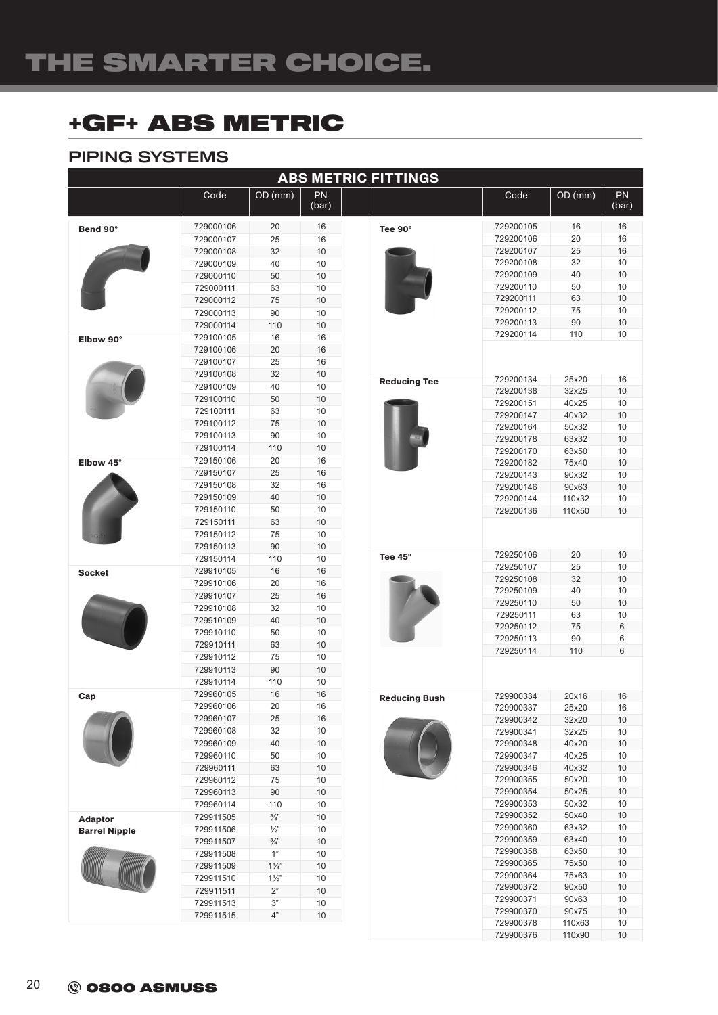## +GF+ ABS METRIC

### PIPING SYSTEMS

| <b>ABS METRIC FITTINGS</b> |                        |                 |             |                      |                        |                |             |  |  |
|----------------------------|------------------------|-----------------|-------------|----------------------|------------------------|----------------|-------------|--|--|
|                            | Code                   | OD (mm)         | PN<br>(bar) |                      | Code                   | OD (mm)        | PN<br>(bar) |  |  |
| Bend 90°                   | 729000106              | 20              | 16          | Tee 90°              | 729200105              | 16             | 16          |  |  |
|                            | 729000107              | 25              | 16          |                      | 729200106              | 20             | 16          |  |  |
|                            | 729000108              | 32              | 10          |                      | 729200107              | 25             | 16          |  |  |
|                            | 729000109              | 40              | 10          |                      | 729200108              | 32             | 10          |  |  |
|                            | 729000110              | 50              | 10          |                      | 729200109              | 40             | 10          |  |  |
|                            | 729000111              | 63              | 10          |                      | 729200110              | 50             | 10          |  |  |
|                            | 729000112              | 75              | 10          |                      | 729200111              | 63             | 10          |  |  |
|                            | 729000113              | 90              | 10          |                      | 729200112              | 75             | 10          |  |  |
|                            | 729000114              | 110             | 10          |                      | 729200113              | 90             | 10          |  |  |
| Elbow 90°                  | 729100105              | 16              | 16          |                      | 729200114              | 110            | 10          |  |  |
|                            | 729100106              | 20              | 16          |                      |                        |                |             |  |  |
|                            | 729100107              | 25              | 16          |                      |                        |                |             |  |  |
|                            | 729100108              | 32              | 10          | <b>Reducing Tee</b>  | 729200134              | 25x20          | 16          |  |  |
|                            | 729100109              | 40              | 10          |                      | 729200138              | 32x25          | 10          |  |  |
|                            | 729100110              | 50              | 10          |                      | 729200151              | 40x25          | 10          |  |  |
|                            | 729100111              | 63              | 10          |                      | 729200147              | 40x32          | 10          |  |  |
|                            | 729100112              | 75              | 10          |                      | 729200164              | 50x32          | 10          |  |  |
|                            | 729100113              | 90              | 10          |                      | 729200178              | 63x32          | 10          |  |  |
|                            | 729100114              | 110             | 10          |                      | 729200170              | 63x50          | 10          |  |  |
| Elbow 45°                  | 729150106              | 20              | 16          |                      | 729200182              | 75x40          | 10          |  |  |
|                            | 729150107              | 25              | 16          |                      | 729200143              | 90x32          | 10          |  |  |
|                            | 729150108              | 32              | 16          |                      | 729200146              | 90x63          | 10          |  |  |
|                            | 729150109              | 40              | 10          |                      | 729200144              | 110x32         | 10          |  |  |
|                            | 729150110              | 50              | 10          |                      | 729200136              | 110x50         | 10          |  |  |
|                            | 729150111              | 63              | 10          |                      |                        |                |             |  |  |
|                            | 729150112              | 75              | 10          |                      |                        |                |             |  |  |
|                            | 729150113              | 90              | 10          |                      | 729250106              | 20             | 10          |  |  |
|                            | 729150114              | 110             | 10          | Tee 45°              | 729250107              | 25             | 10          |  |  |
| <b>Socket</b>              | 729910105              | 16              | 16          |                      | 729250108              | 32             | 10          |  |  |
|                            | 729910106              | 20              | 16          |                      | 729250109              | 40             | 10          |  |  |
|                            | 729910107              | 25              | 16          |                      | 729250110              | 50             | 10          |  |  |
|                            | 729910108              | 32              | 10          |                      | 729250111              | 63             | 10          |  |  |
|                            | 729910109              | 40              | 10          |                      | 729250112              | 75             | 6           |  |  |
|                            | 729910110              | 50              | 10          |                      | 729250113              | 90             | 6           |  |  |
|                            | 729910111              | 63              | 10          |                      | 729250114              | 110            | 6           |  |  |
|                            | 729910112<br>729910113 | 75<br>90        | 10<br>10    |                      |                        |                |             |  |  |
|                            | 729910114              | 110             | 10          |                      |                        |                |             |  |  |
| Cap                        | 729960105              | 16              | 16          |                      |                        |                |             |  |  |
|                            | 729960106              | 20              | 16          | <b>Reducing Bush</b> | 729900334<br>729900337 | 20x16<br>25x20 | 16          |  |  |
|                            | 729960107              | 25              | 16          |                      |                        |                | 16          |  |  |
|                            | 729960108              | 32              | 10          |                      | 729900342<br>729900341 | 32x20<br>32x25 | 10<br>10    |  |  |
|                            | 729960109              | 40              | $10$        |                      | 729900348              | 40x20          | $10$        |  |  |
|                            | 729960110              | 50              | 10          |                      | 729900347              | 40x25          | 10          |  |  |
|                            | 729960111              | 63              | 10          |                      | 729900346              | 40x32          | 10          |  |  |
|                            | 729960112              | 75              | 10          |                      | 729900355              | 50x20          | $10$        |  |  |
|                            | 729960113              | 90              | 10          |                      | 729900354              | 50x25          | 10          |  |  |
|                            | 729960114              | 110             | 10          |                      | 729900353              | 50x32          | 10          |  |  |
| <b>Adaptor</b>             | 729911505              | $\frac{3}{8}$ " | 10          |                      | 729900352              | 50x40          | $10$        |  |  |
| <b>Barrel Nipple</b>       | 729911506              | $\frac{1}{2}$   | 10          |                      | 729900360              | 63x32          | 10          |  |  |
|                            | 729911507              | $\frac{3}{4}$   | 10          |                      | 729900359              | 63x40          | 10          |  |  |
|                            | 729911508              | 1"              | 10          |                      | 729900358              | 63x50          | 10          |  |  |
|                            | 729911509              | $1\frac{1}{4}$  | 10          |                      | 729900365              | 75x50          | $10$        |  |  |
|                            | 729911510              | $1\frac{1}{2}$  | 10          |                      | 729900364              | 75x63          | 10          |  |  |
|                            | 729911511              | $2"$            | 10          |                      | 729900372              | 90x50          | 10          |  |  |
|                            | 729911513              | 3"              | 10          |                      | 729900371              | 90x63          | 10          |  |  |
|                            | 729911515              | 4"              | 10          |                      | 729900370              | 90x75          | 10          |  |  |
|                            |                        |                 |             |                      | 729900378              | 110x63         | 10          |  |  |
|                            |                        |                 |             |                      | 729900376              | 110x90         | $10$        |  |  |